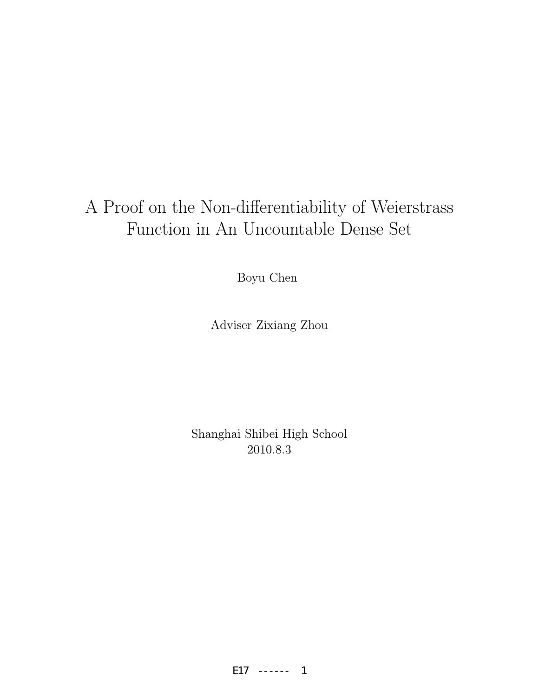# A Proof on the Non-differentiability of Weierstrass Function in An Uncountable Dense Set

Boyu Chen

Adviser Zixiang Zhou

Shanghai Shibei High School 2010.8.3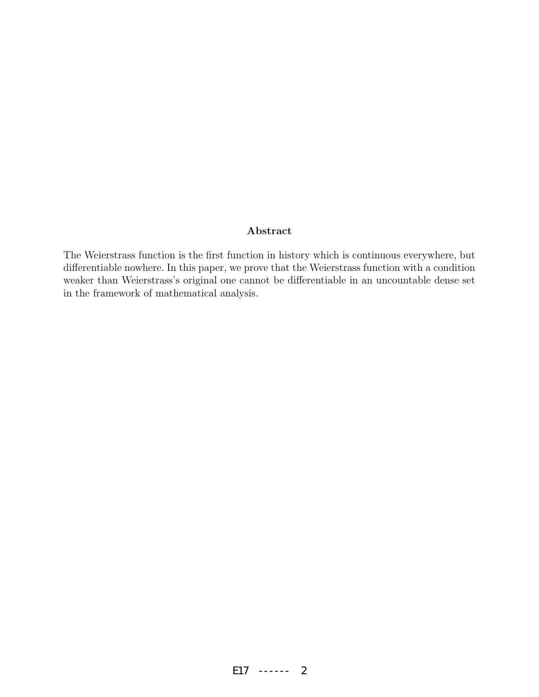#### Abstract

The Weierstrass function is the first function in history which is continuous everywhere, but differentiable nowhere. In this paper, we prove that the Weierstrass function with a condition weaker than Weierstrass's original one cannot be differentiable in an uncountable dense set in the framework of mathematical analysis.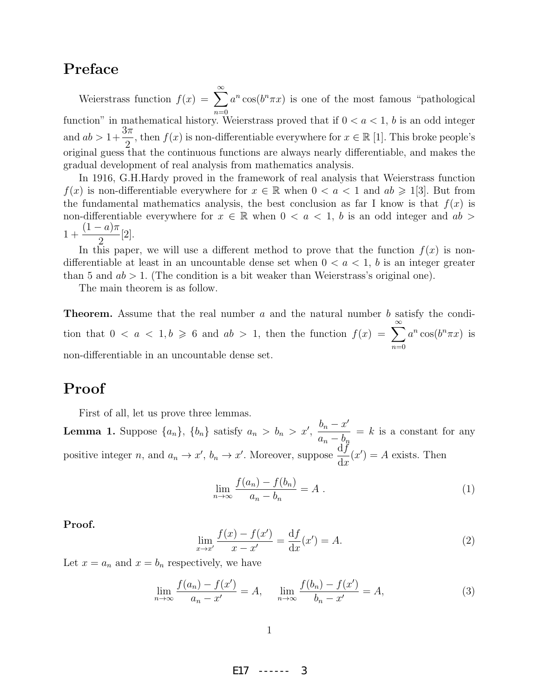## Preface

Weierstrass function  $f(x) = \sum_{n=0}^{\infty}$  $n=0$  $a^n \cos(b^n \pi x)$  is one of the most famous "pathological function" in mathematical history. Weierstrass proved that if  $0 < a < 1$ , b is an odd integer and  $ab > 1+$  $3\pi$ 2 , then  $f(x)$  is non-differentiable everywhere for  $x \in \mathbb{R}$  [1]. This broke people's original guess that the continuous functions are always nearly differentiable, and makes the gradual development of real analysis from mathematics analysis.

In 1916, G.H.Hardy proved in the framework of real analysis that Weierstrass function  $f(x)$  is non-differentiable everywhere for  $x \in \mathbb{R}$  when  $0 < a < 1$  and  $ab \geq 1/3$ . But from the fundamental mathematics analysis, the best conclusion as far I know is that  $f(x)$  is non-differentiable everywhere for  $x \in \mathbb{R}$  when  $0 < a < 1$ , b is an odd integer and  $ab >$ 1 +  $(1-a)\pi$ 2 [2].

In this paper, we will use a different method to prove that the function  $f(x)$  is nondifferentiable at least in an uncountable dense set when  $0 < a < 1$ , b is an integer greater than 5 and  $ab > 1$ . (The condition is a bit weaker than Weierstrass's original one).

The main theorem is as follow.

**Theorem.** Assume that the real number  $a$  and the natural number  $b$  satisfy the condition that  $0 < a < 1, b \ge 6$  and  $ab > 1$ , then the function  $f(x) = \sum_{n=0}^{\infty}$  $n=0$  $a^n \cos(b^n \pi x)$  is non-differentiable in an uncountable dense set.

### Proof

First of all, let us prove three lemmas.

**Lemma 1.** Suppose  $\{a_n\}$ ,  $\{b_n\}$  satisfy  $a_n > b_n > x'$ ,  $\frac{b_n - x'}{x^n}$  $a_n - b_n$  $= k$  is a constant for any positive integer *n*, and  $a_n \to x'$ ,  $b_n \to x'$ . Moreover, suppose  $\frac{df}{dx}$  $dx$  $(x') = A$  exists. Then

$$
\lim_{n \to \infty} \frac{f(a_n) - f(b_n)}{a_n - b_n} = A . \tag{1}
$$

Proof.

$$
\lim_{x \to x'} \frac{f(x) - f(x')}{x - x'} = \frac{df}{dx}(x') = A.
$$
\n(2)

Let  $x = a_n$  and  $x = b_n$  respectively, we have

$$
\lim_{n \to \infty} \frac{f(a_n) - f(x')}{a_n - x'} = A, \quad \lim_{n \to \infty} \frac{f(b_n) - f(x')}{b_n - x'} = A,
$$
\n(3)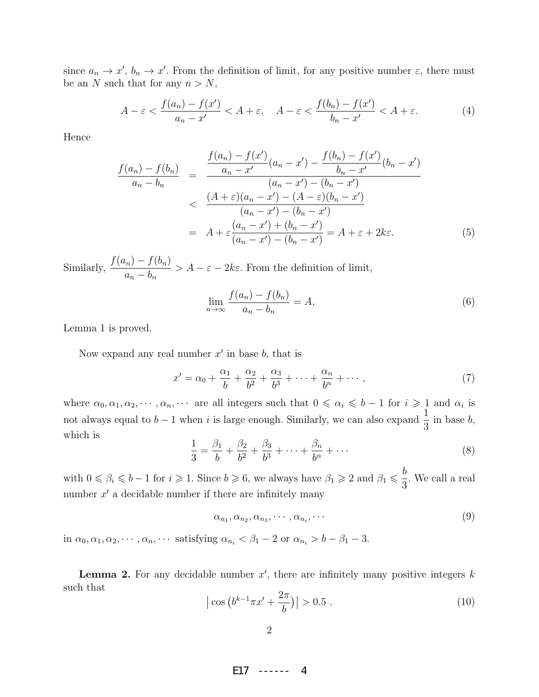since  $a_n \to x'$ ,  $b_n \to x'$ . From the definition of limit, for any positive number  $\varepsilon$ , there must be an N such that for any  $n > N$ ,

$$
A - \varepsilon < \frac{f(a_n) - f(x')}{a_n - x'} < A + \varepsilon, \quad A - \varepsilon < \frac{f(b_n) - f(x')}{b_n - x'} < A + \varepsilon. \tag{4}
$$

Hence

$$
\frac{f(a_n) - f(b_n)}{a_n - b_n} = \frac{\frac{f(a_n) - f(x')}{a_n - x'}(a_n - x') - \frac{f(b_n) - f(x')}{b_n - x'}(b_n - x')}{(a_n - x') - (b_n - x')}
$$
\n
$$
< \frac{(A + \varepsilon)(a_n - x') - (A - \varepsilon)(b_n - x')}{(a_n - x') - (b_n - x')}
$$
\n
$$
= A + \varepsilon \frac{(a_n - x') + (b_n - x')}{(a_n - x') - (b_n - x')} = A + \varepsilon + 2k\varepsilon. \tag{5}
$$

Similarly,  $\frac{f(a_n) - f(b_n)}{h}$  $a_n - b_n$  $> A - \varepsilon - 2k\varepsilon$ . From the definition of limit,

$$
\lim_{n \to \infty} \frac{f(a_n) - f(b_n)}{a_n - b_n} = A,\tag{6}
$$

Lemma 1 is proved.

Now expand any real number  $x'$  in base  $b$ , that is

$$
x' = \alpha_0 + \frac{\alpha_1}{b} + \frac{\alpha_2}{b^2} + \frac{\alpha_3}{b^3} + \dots + \frac{\alpha_n}{b^n} + \dots \,,\tag{7}
$$

where  $\alpha_0, \alpha_1, \alpha_2, \cdots, \alpha_n, \cdots$  are all integers such that  $0 \le \alpha_i \le b-1$  for  $i \ge 1$  and  $\alpha_i$  is not always equal to  $b - 1$  when i is large enough. Similarly, we can also expand  $\frac{1}{2}$ 3 in base b, which is

$$
\frac{1}{3} = \frac{\beta_1}{b} + \frac{\beta_2}{b^2} + \frac{\beta_3}{b^3} + \dots + \frac{\beta_n}{b^n} + \dots
$$
 (8)

with  $0 \le \beta_i \le b-1$  for  $i \ge 1$ . Since  $b \ge 6$ , we always have  $\beta_1 \ge 2$  and  $\beta_1 \le \frac{b}{2}$ 3 . We call a real number  $x'$  a decidable number if there are infinitely many

$$
\alpha_{n_1}, \alpha_{n_2}, \alpha_{n_3}, \cdots, \alpha_{n_i}, \cdots \tag{9}
$$

in  $\alpha_0, \alpha_1, \alpha_2, \cdots, \alpha_n, \cdots$  satisfying  $\alpha_{n_i} < \beta_1 - 2$  or  $\alpha_{n_i} > b - \beta_1 - 3$ .

**Lemma 2.** For any decidable number  $x'$ , there are infinitely many positive integers  $k$ such that

$$
\left| \cos \left( b^{k-1} \pi x' + \frac{2\pi}{b} \right) \right| > 0.5 \tag{10}
$$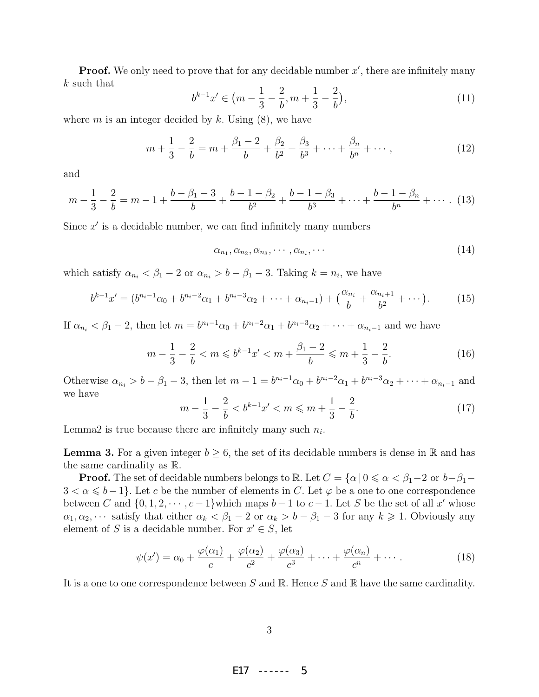**Proof.** We only need to prove that for any decidable number  $x'$ , there are infinitely many k such that

$$
b^{k-1}x' \in \left(m - \frac{1}{3} - \frac{2}{b}, m + \frac{1}{3} - \frac{2}{b}\right),\tag{11}
$$

where m is an integer decided by k. Using  $(8)$ , we have

$$
m + \frac{1}{3} - \frac{2}{b} = m + \frac{\beta_1 - 2}{b} + \frac{\beta_2}{b^2} + \frac{\beta_3}{b^3} + \dots + \frac{\beta_n}{b^n} + \dots,
$$
 (12)

and

$$
m - \frac{1}{3} - \frac{2}{b} = m - 1 + \frac{b - \beta_1 - 3}{b} + \frac{b - 1 - \beta_2}{b^2} + \frac{b - 1 - \beta_3}{b^3} + \dots + \frac{b - 1 - \beta_n}{b^n} + \dotsb
$$
 (13)

Since  $x'$  is a decidable number, we can find infinitely many numbers

$$
\alpha_{n_1}, \alpha_{n_2}, \alpha_{n_3}, \cdots, \alpha_{n_i}, \cdots \tag{14}
$$

which satisfy  $\alpha_{n_i} < \beta_1 - 2$  or  $\alpha_{n_i} > b - \beta_1 - 3$ . Taking  $k = n_i$ , we have

$$
b^{k-1}x' = (b^{n_i-1}\alpha_0 + b^{n_i-2}\alpha_1 + b^{n_i-3}\alpha_2 + \dots + \alpha_{n_i-1}) + \left(\frac{\alpha_{n_i}}{b} + \frac{\alpha_{n_i+1}}{b^2} + \dots\right). \tag{15}
$$

If  $\alpha_{n_i} < \beta_1 - 2$ , then let  $m = b^{n_i-1}\alpha_0 + b^{n_i-2}\alpha_1 + b^{n_i-3}\alpha_2 + \cdots + \alpha_{n_i-1}$  and we have

$$
m - \frac{1}{3} - \frac{2}{b} < m \leqslant b^{k-1} x' < m + \frac{\beta_1 - 2}{b} \leqslant m + \frac{1}{3} - \frac{2}{b}.\tag{16}
$$

Otherwise  $\alpha_{n_i} > b - \beta_1 - 3$ , then let  $m - 1 = b^{n_i-1}\alpha_0 + b^{n_i-2}\alpha_1 + b^{n_i-3}\alpha_2 + \cdots + \alpha_{n_i-1}$  and we have

$$
m - \frac{1}{3} - \frac{2}{b} < b^{k-1}x' < m \le m + \frac{1}{3} - \frac{2}{b}.\tag{17}
$$

Lemma2 is true because there are infinitely many such  $n_i$ .

**Lemma 3.** For a given integer  $b \geq 6$ , the set of its decidable numbers is dense in R and has the same cardinality as R.

**Proof.** The set of decidable numbers belongs to R. Let  $C = \{\alpha \mid 0 \leq \alpha < \beta_1 - 2 \text{ or } b - \beta_1 - 1\}$  $3 < \alpha \leq b-1$ . Let c be the number of elements in C. Let  $\varphi$  be a one to one correspondence between C and  $\{0, 1, 2, \dots, c-1\}$  which maps  $b-1$  to  $c-1$ . Let S be the set of all x' whose  $\alpha_1, \alpha_2, \cdots$  satisfy that either  $\alpha_k < \beta_1 - 2$  or  $\alpha_k > b - \beta_1 - 3$  for any  $k \geq 1$ . Obviously any element of S is a decidable number. For  $x' \in S$ , let

$$
\psi(x') = \alpha_0 + \frac{\varphi(\alpha_1)}{c} + \frac{\varphi(\alpha_2)}{c^2} + \frac{\varphi(\alpha_3)}{c^3} + \dots + \frac{\varphi(\alpha_n)}{c^n} + \dots
$$
 (18)

It is a one to one correspondence between S and R. Hence S and R have the same cardinality.

3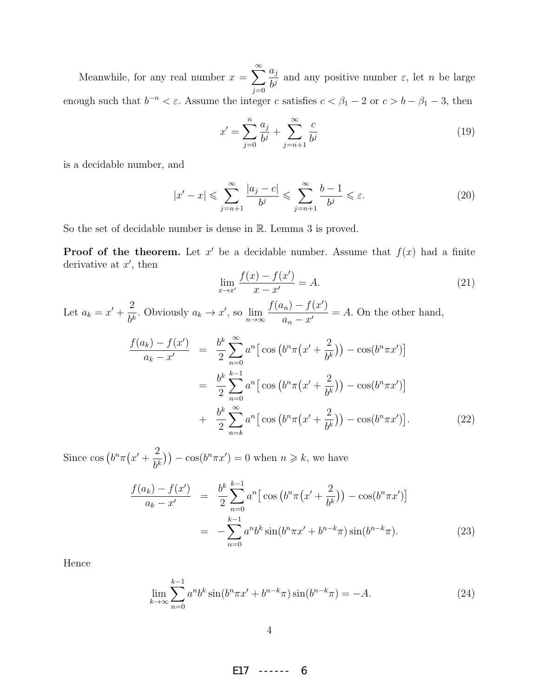Meanwhile, for any real number  $x = \sum_{n=1}^{\infty}$  $j=0$  $a_j$  $\frac{dy}{dt}$  and any positive number  $\varepsilon$ , let *n* be large enough such that  $b^{-n} < \varepsilon$ . Assume the integer c satisfies  $c < \beta_1 - 2$  or  $c > b - \beta_1 - 3$ , then

$$
x' = \sum_{j=0}^{n} \frac{a_j}{b^j} + \sum_{j=n+1}^{\infty} \frac{c}{b^j}
$$
 (19)

is a decidable number, and

$$
|x'-x| \leqslant \sum_{j=n+1}^{\infty} \frac{|a_j - c|}{b^j} \leqslant \sum_{j=n+1}^{\infty} \frac{b-1}{b^j} \leqslant \varepsilon. \tag{20}
$$

So the set of decidable number is dense in R. Lemma 3 is proved.

**Proof of the theorem.** Let  $x'$  be a decidable number. Assume that  $f(x)$  had a finite derivative at  $x'$ , then

$$
\lim_{x \to x'} \frac{f(x) - f(x')}{x - x'} = A.
$$
\n(21)

Let  $a_k = x' + \frac{2}{\mu}$  $\frac{2}{b^k}$ . Obviously  $a_k \to x'$ , so  $\lim_{n \to \infty}$  $f(a_n) - f(x')$  $\frac{n}{a_n-x'}=A.$  On the other hand,

$$
\frac{f(a_k) - f(x')}{a_k - x'} = \frac{b^k}{2} \sum_{n=0}^{\infty} a^n \left[ \cos \left( b^n \pi (x' + \frac{2}{b^k}) \right) - \cos(b^n \pi x') \right]
$$

$$
= \frac{b^k}{2} \sum_{n=0}^{k-1} a^n \left[ \cos \left( b^n \pi (x' + \frac{2}{b^k}) \right) - \cos(b^n \pi x') \right]
$$

$$
+ \frac{b^k}{2} \sum_{n=k}^{\infty} a^n \left[ \cos \left( b^n \pi (x' + \frac{2}{b^k}) \right) - \cos(b^n \pi x') \right]. \tag{22}
$$

Since  $\cos\left(b^n\pi(x'+\frac{2}{b^n}\right))$  $\left(\frac{2}{b^k}\right)\right) - \cos(b^n \pi x') = 0$  when  $n \geq k$ , we have

$$
\frac{f(a_k) - f(x')}{a_k - x'} = \frac{b^k}{2} \sum_{n=0}^{k-1} a^n \left[ \cos \left( b^n \pi (x' + \frac{2}{b^k}) \right) - \cos(b^n \pi x') \right]
$$

$$
= - \sum_{n=0}^{k-1} a^n b^k \sin(b^n \pi x' + b^{n-k} \pi) \sin(b^{n-k} \pi). \tag{23}
$$

Hence

$$
\lim_{k \to \infty} \sum_{n=0}^{k-1} a^n b^k \sin(b^n \pi x' + b^{n-k} \pi) \sin(b^{n-k} \pi) = -A.
$$
 (24)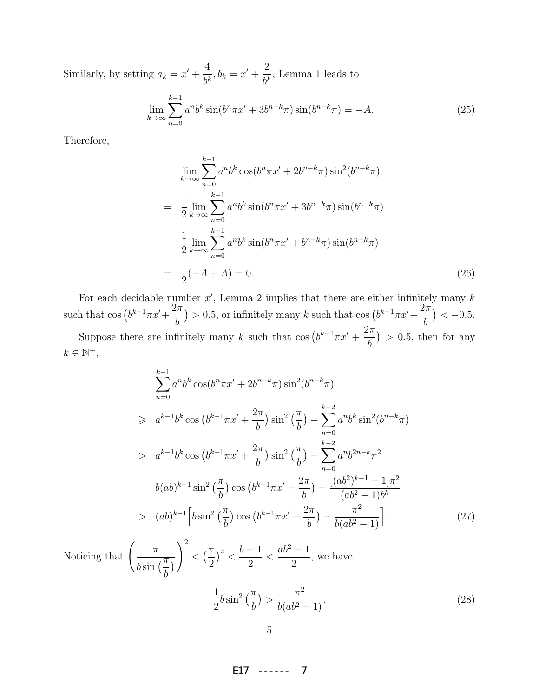Similarly, by setting  $a_k = x' + \frac{4}{k}$  $\frac{4}{b^k}, b_k = x' + \frac{2}{b^k}$  $\frac{2}{b^k}$ , Lemma 1 leads to

$$
\lim_{k \to \infty} \sum_{n=0}^{k-1} a^n b^k \sin(b^n \pi x' + 3b^{n-k} \pi) \sin(b^{n-k} \pi) = -A.
$$
\n(25)

Therefore,

$$
\lim_{k \to \infty} \sum_{n=0}^{k-1} a^n b^k \cos(b^n \pi x' + 2b^{n-k} \pi) \sin^2(b^{n-k} \pi)
$$
  
= 
$$
\frac{1}{2} \lim_{k \to \infty} \sum_{n=0}^{k-1} a^n b^k \sin(b^n \pi x' + 3b^{n-k} \pi) \sin(b^{n-k} \pi)
$$
  
- 
$$
\frac{1}{2} \lim_{k \to \infty} \sum_{n=0}^{k-1} a^n b^k \sin(b^n \pi x' + b^{n-k} \pi) \sin(b^{n-k} \pi)
$$
  
= 
$$
\frac{1}{2} (-A + A) = 0.
$$
 (26)

For each decidable number  $x'$ , Lemma 2 implies that there are either infinitely many  $k$ such that  $\cos (b^{k-1}\pi x' + \frac{2\pi}{b})$ b ) > 0.5, or infinitely many k such that cos  $(b^{k-1}\pi x'+\frac{2\pi}{b})$ b  $) < -0.5$ . Suppose there are infinitely many k such that  $\cos (b^{k-1}\pi x' + \frac{2\pi}{b})$ 

b  $) > 0.5$ , then for any  $k \in \mathbb{N}^+,$ 

$$
\sum_{n=0}^{k-1} a^n b^k \cos(b^n \pi x' + 2b^{n-k} \pi) \sin^2(b^{n-k} \pi)
$$
  
\n
$$
\geq a^{k-1} b^k \cos (b^{k-1} \pi x' + \frac{2\pi}{b}) \sin^2 \left(\frac{\pi}{b}\right) - \sum_{n=0}^{k-2} a^n b^k \sin^2(b^{n-k} \pi)
$$
  
\n
$$
> a^{k-1} b^k \cos (b^{k-1} \pi x' + \frac{2\pi}{b}) \sin^2 \left(\frac{\pi}{b}\right) - \sum_{n=0}^{k-2} a^n b^{2n-k} \pi^2
$$
  
\n
$$
= b(ab)^{k-1} \sin^2 \left(\frac{\pi}{b}\right) \cos (b^{k-1} \pi x' + \frac{2\pi}{b}) - \frac{[(ab^2)^{k-1} - 1]\pi^2}{(ab^2 - 1)b^k}
$$
  
\n
$$
> (ab)^{k-1} \left[b \sin^2 \left(\frac{\pi}{b}\right) \cos (b^{k-1} \pi x' + \frac{2\pi}{b}) - \frac{\pi^2}{b(ab^2 - 1)}\right]. \tag{27}
$$

Noticing that  $\left(\begin{array}{c} \pi \end{array}\right)$  $\frac{\pi}{b \sin \left(\frac{\pi}{b}\right)}$ b  $\mathcal{L}$  $\setminus^2$  $\lt \left(\frac{\pi}{2}\right)$ 2  $\big)^2$  <  $b-1$ 2  $\lt$  $ab^2-1$ 2 , we have

$$
\frac{1}{2}b\sin^2\left(\frac{\pi}{b}\right) > \frac{\pi^2}{b(ab^2 - 1)}.\tag{28}
$$

5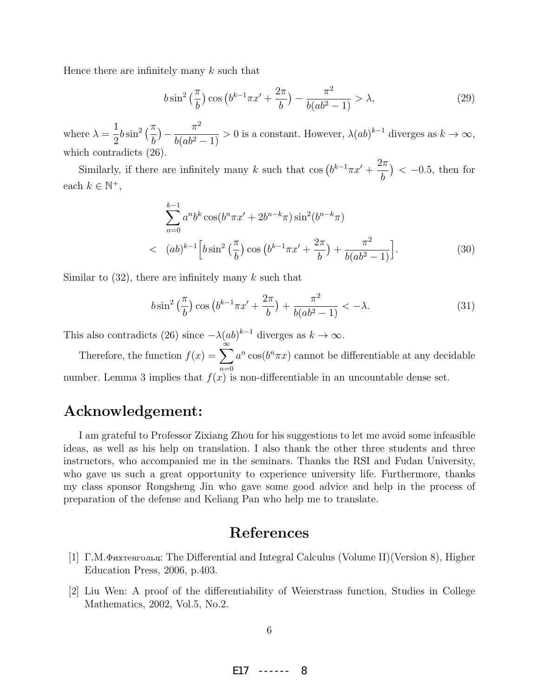Hence there are infinitely many  $k$  such that

$$
b\sin^2\left(\frac{\pi}{b}\right)\cos\left(b^{k-1}\pi x' + \frac{2\pi}{b}\right) - \frac{\pi^2}{b(ab^2 - 1)} > \lambda,\tag{29}
$$

where  $\lambda =$ 1 2  $b\sin^2\left(\frac{\pi}{l}\right)$ b  $-\frac{\pi^2}{(1+\pi^2)^2}$  $\frac{h}{b(ab^2-1)} > 0$  is a constant. However,  $\lambda(ab)^{k-1}$  diverges as  $k \to \infty$ , which contradicts (26).

Similarly, if there are infinitely many k such that  $\cos (b^{k-1}\pi x' + \frac{2\pi}{b})$ b  $) < -0.5$ , then for each  $k \in \mathbb{N}^+,$ 

$$
\sum_{n=0}^{k-1} a^n b^k \cos(b^n \pi x' + 2b^{n-k} \pi) \sin^2(b^{n-k} \pi)
$$
  

$$
\langle (ab)^{k-1} \left[ b \sin^2 \left( \frac{\pi}{b} \right) \cos \left( b^{k-1} \pi x' + \frac{2\pi}{b} \right) + \frac{\pi^2}{b(a b^2 - 1)} \right].
$$
 (30)

Similar to  $(32)$ , there are infinitely many k such that

$$
b\sin^2\left(\frac{\pi}{b}\right)\cos\left(b^{k-1}\pi x' + \frac{2\pi}{b}\right) + \frac{\pi^2}{b(ab^2 - 1)} < -\lambda.
$$
 (31)

This also contradicts (26) since  $-\lambda(ab)^{k-1}$  diverges as  $k \to \infty$ .

Therefore, the function  $f(x) = \sum_{n=0}^{\infty}$  $n=0$  $a^n \cos(b^n \pi x)$  cannot be differentiable at any decidable number. Lemma 3 implies that  $f(x)$  is non-differentiable in an uncountable dense set.

#### Acknowledgement:

I am grateful to Professor Zixiang Zhou for his suggestions to let me avoid some infeasible ideas, as well as his help on translation. I also thank the other three students and three instructors, who accompanied me in the seminars. Thanks the RSI and Fudan University, who gave us such a great opportunity to experience university life. Furthermore, thanks my class sponsor Rongsheng Jin who gave some good advice and help in the process of preparation of the defense and Keliang Pan who help me to translate.

#### References

- [1]  $\Gamma$ .M.Фихтенгольц: The Differential and Integral Calculus (Volume II)(Version 8), Higher Education Press, 2006, p.403.
- [2] Liu Wen: A proof of the differentiability of Weierstrass function, Studies in College Mathematics, 2002, Vol.5, No.2.

6